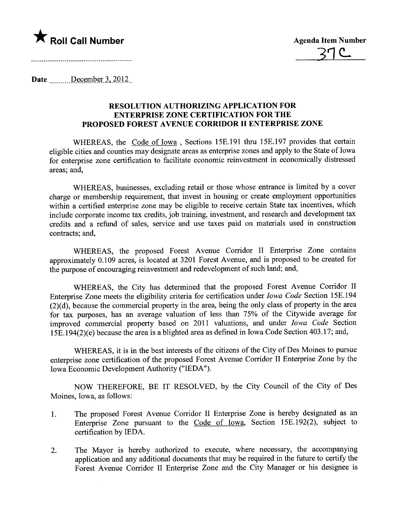

Date  $\frac{\text{December 3, 2012}}{\text{December 3.2012}}$ 

## RESOLUTION AUTHORIZING APPLICATION FOR ENTERPRISE ZONE CERTIFICATION FOR THE PROPOSED FOREST AVENUE CORRIDOR II ENTERPRISE ZONE

WHEREAS, the Code of Iowa, Sections 15E.191 thru 15E.197 provides that certain eligible cities and counties may designate areas as enterprise zones and apply to the State of Iowa for enterprise zone certification to facilitate economic reinvestment in economically distressed areas; and,

WHEREAS, businesses, excluding retail or those whose entrance is limited by a cover charge or membership requirement, that invest in housing or create employment opportunities within a certified enterprise zone may be eligible to receive certain State tax incentives, which include corporate income tax credits, job training, investment, and research and development tax credits and a refund of sales, service and use taxes paid on materials used in construction contracts; and,

WHEREAS, the proposed Forest Avenue Corrdor II Enterprise Zone contains approximately 0.109 acres, is located at 3201 Forest Avenue, and is proposed to be created for the purpose of encouraging reinvestment and redevelopment of such land; and,

WHEREAS, the City has determined that the proposed Forest Avenue Corrdor II Enterprise Zone meets the eligibility criteria for certification under Iowa Code Section 15E.194 for tax purposes, has an average valuation of less than  $75%$  of the Citywide average for  $(2)(d)$ , because the commercial property in the area, being the only class of property in the area improved commercial property based on 2011 valuations, and under Iowa Code Section 15E.194(2)(e) because the area is a blighted area as defined in Iowa Code Section 403.17; and,

WHEREAS, it is in the best interests of the citizens of the City of Des Moines to pursue enterprise zone certification of the proposed Forest Avenue Corrdor II Enterprise Zone by the Iowa Economic Development Authority ("IEDA").

NOW THEREFORE, BE IT RESOLVED, by the City Council of the City of Des Moines, Iowa, as follows:

- 1. The proposed Forest Avenue Corrdor II Enterprise Zone is hereby designated as an Enterprise Zone pursuant to the Code of Iowa, Section 15E.192(2), subject to certification by IEDA.
- 2. The Mayor is hereby authorized to execute, where necessary, the accompanying application and any additional documents that may be required in the future to certify the Forest Avenue Corrdor II Enterprise Zone and the City Manager or his designee is